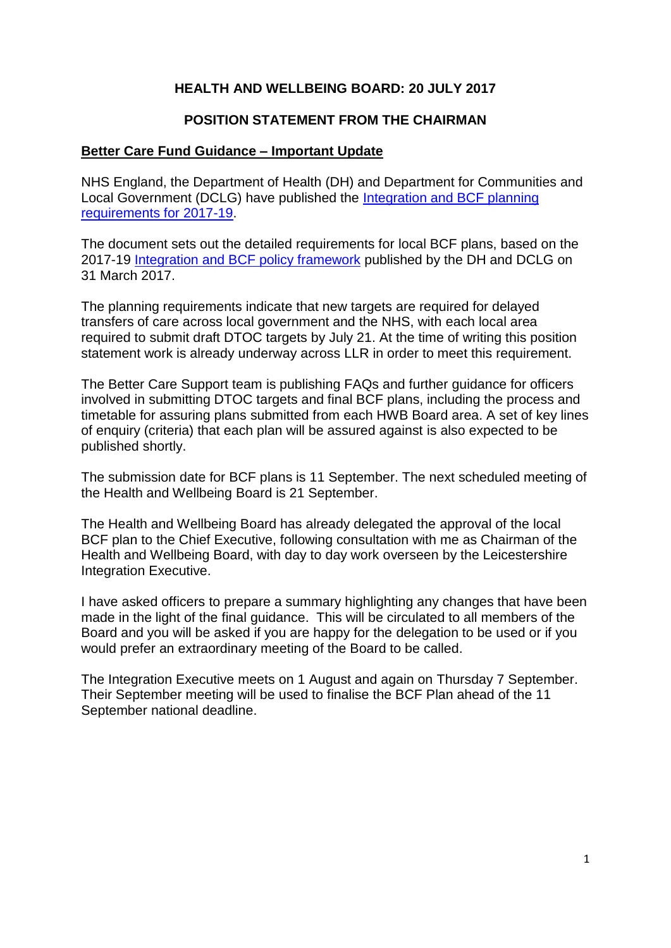### **HEALTH AND WELLBEING BOARD: 20 JULY 2017**

#### **POSITION STATEMENT FROM THE CHAIRMAN**

#### **Better Care Fund Guidance – Important Update**

NHS England, the Department of Health (DH) and Department for Communities and Local Government (DCLG) have published the [Integration and BCF planning](https://www.england.nhs.uk/wp-content/uploads/2017/07/integration-better-care-fund-planning-requirements.pdf)  [requirements for 2017-19.](https://www.england.nhs.uk/wp-content/uploads/2017/07/integration-better-care-fund-planning-requirements.pdf)

The document sets out the detailed requirements for local BCF plans, based on the 2017-19 [Integration and BCF policy framework](https://www.gov.uk/government/uploads/system/uploads/attachment_data/file/607754/Integration_and_BCF_policy_framework_2017-19.pdf) published by the DH and DCLG on 31 March 2017.

The planning requirements indicate that new targets are required for delayed transfers of care across local government and the NHS, with each local area required to submit draft DTOC targets by July 21. At the time of writing this position statement work is already underway across LLR in order to meet this requirement.

The Better Care Support team is publishing FAQs and further guidance for officers involved in submitting DTOC targets and final BCF plans, including the process and timetable for assuring plans submitted from each HWB Board area. A set of key lines of enquiry (criteria) that each plan will be assured against is also expected to be published shortly.

The submission date for BCF plans is 11 September. The next scheduled meeting of the Health and Wellbeing Board is 21 September.

The Health and Wellbeing Board has already delegated the approval of the local BCF plan to the Chief Executive, following consultation with me as Chairman of the Health and Wellbeing Board, with day to day work overseen by the Leicestershire Integration Executive.

I have asked officers to prepare a summary highlighting any changes that have been made in the light of the final guidance. This will be circulated to all members of the Board and you will be asked if you are happy for the delegation to be used or if you would prefer an extraordinary meeting of the Board to be called.

The Integration Executive meets on 1 August and again on Thursday 7 September. Their September meeting will be used to finalise the BCF Plan ahead of the 11 September national deadline.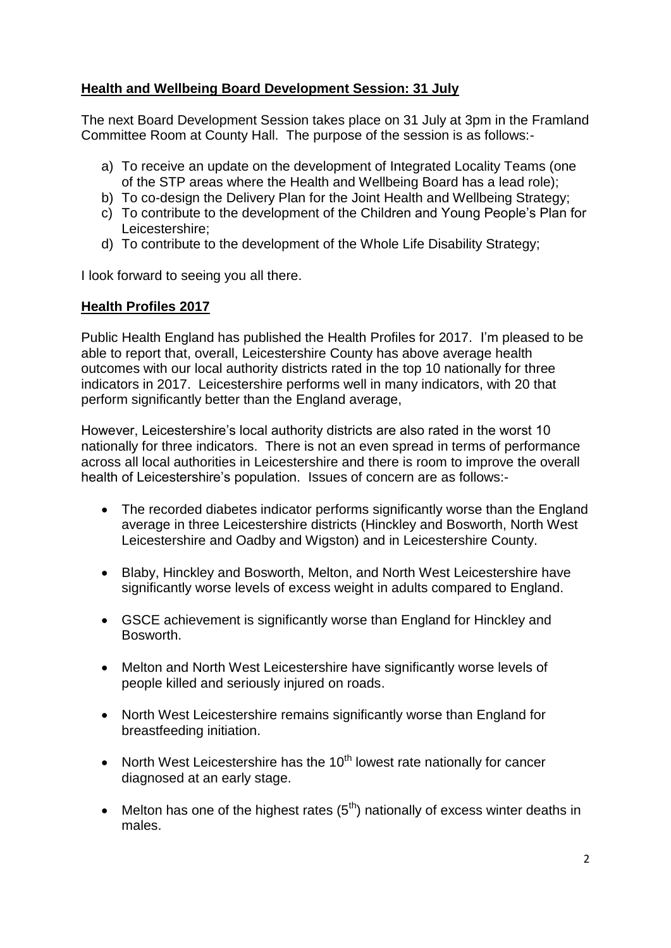## **Health and Wellbeing Board Development Session: 31 July**

The next Board Development Session takes place on 31 July at 3pm in the Framland Committee Room at County Hall. The purpose of the session is as follows:-

- a) To receive an update on the development of Integrated Locality Teams (one of the STP areas where the Health and Wellbeing Board has a lead role);
- b) To co-design the Delivery Plan for the Joint Health and Wellbeing Strategy;
- c) To contribute to the development of the Children and Young People's Plan for Leicestershire;
- d) To contribute to the development of the Whole Life Disability Strategy;

I look forward to seeing you all there.

### **Health Profiles 2017**

Public Health England has published the Health Profiles for 2017. I'm pleased to be able to report that, overall, Leicestershire County has above average health outcomes with our local authority districts rated in the top 10 nationally for three indicators in 2017. Leicestershire performs well in many indicators, with 20 that perform significantly better than the England average,

However, Leicestershire's local authority districts are also rated in the worst 10 nationally for three indicators. There is not an even spread in terms of performance across all local authorities in Leicestershire and there is room to improve the overall health of Leicestershire's population. Issues of concern are as follows:-

- The recorded diabetes indicator performs significantly worse than the England average in three Leicestershire districts (Hinckley and Bosworth, North West Leicestershire and Oadby and Wigston) and in Leicestershire County.
- Blaby, Hinckley and Bosworth, Melton, and North West Leicestershire have significantly worse levels of excess weight in adults compared to England.
- GSCE achievement is significantly worse than England for Hinckley and Bosworth.
- Melton and North West Leicestershire have significantly worse levels of people killed and seriously injured on roads.
- North West Leicestershire remains significantly worse than England for breastfeeding initiation.
- North West Leicestershire has the  $10<sup>th</sup>$  lowest rate nationally for cancer diagnosed at an early stage.
- Melton has one of the highest rates  $(5<sup>th</sup>)$  nationally of excess winter deaths in males.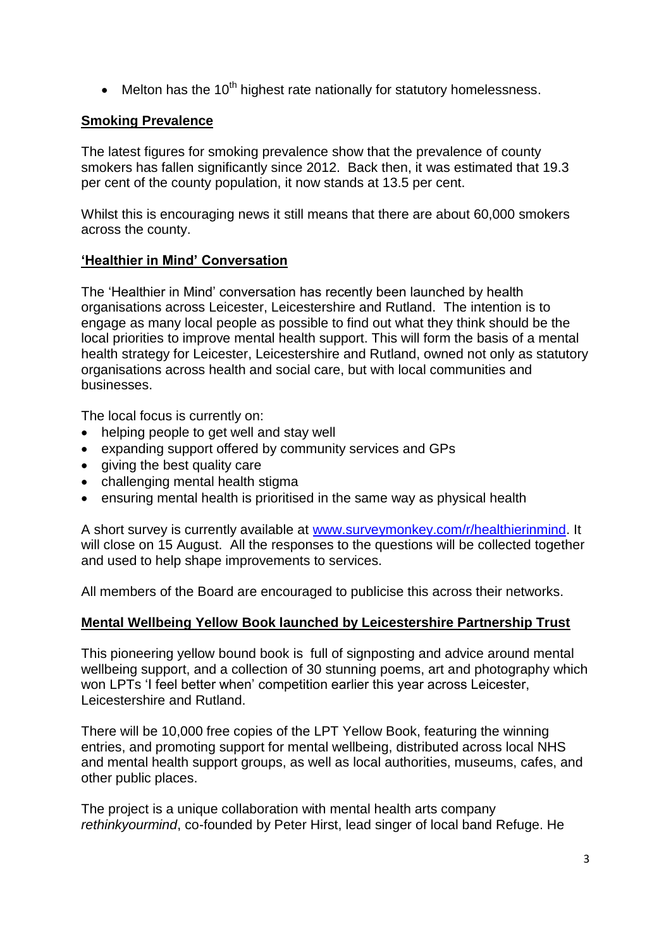$\bullet$  Melton has the 10<sup>th</sup> highest rate nationally for statutory homelessness.

### **Smoking Prevalence**

The latest figures for smoking prevalence show that the prevalence of county smokers has fallen significantly since 2012. Back then, it was estimated that 19.3 per cent of the county population, it now stands at 13.5 per cent.

Whilst this is encouraging news it still means that there are about 60,000 smokers across the county.

### **'Healthier in Mind' Conversation**

The 'Healthier in Mind' conversation has recently been launched by health organisations across Leicester, Leicestershire and Rutland. The intention is to engage as many local people as possible to find out what they think should be the local priorities to improve mental health support. This will form the basis of a mental health strategy for Leicester, Leicestershire and Rutland, owned not only as statutory organisations across health and social care, but with local communities and businesses.

The local focus is currently on:

- helping people to get well and stay well
- expanding support offered by community services and GPs
- giving the best quality care
- challenging mental health stigma
- ensuring mental health is prioritised in the same way as physical health

A short survey is currently available at [www.surveymonkey.com/r/healthierinmind.](http://www.surveymonkey.com/r/healthierinmind) It will close on 15 August. All the responses to the questions will be collected together and used to help shape improvements to services.

All members of the Board are encouraged to publicise this across their networks.

#### **Mental Wellbeing Yellow Book launched by Leicestershire Partnership Trust**

This pioneering yellow bound book is full of signposting and advice around mental wellbeing support, and a collection of 30 stunning poems, art and photography which won LPTs 'I feel better when' competition earlier this year across Leicester, Leicestershire and Rutland.

There will be 10,000 free copies of the LPT Yellow Book, featuring the winning entries, and promoting support for mental wellbeing, distributed across local NHS and mental health support groups, as well as local authorities, museums, cafes, and other public places.

The project is a unique collaboration with mental health arts company *rethinkyourmind*, co-founded by Peter Hirst, lead singer of local band Refuge. He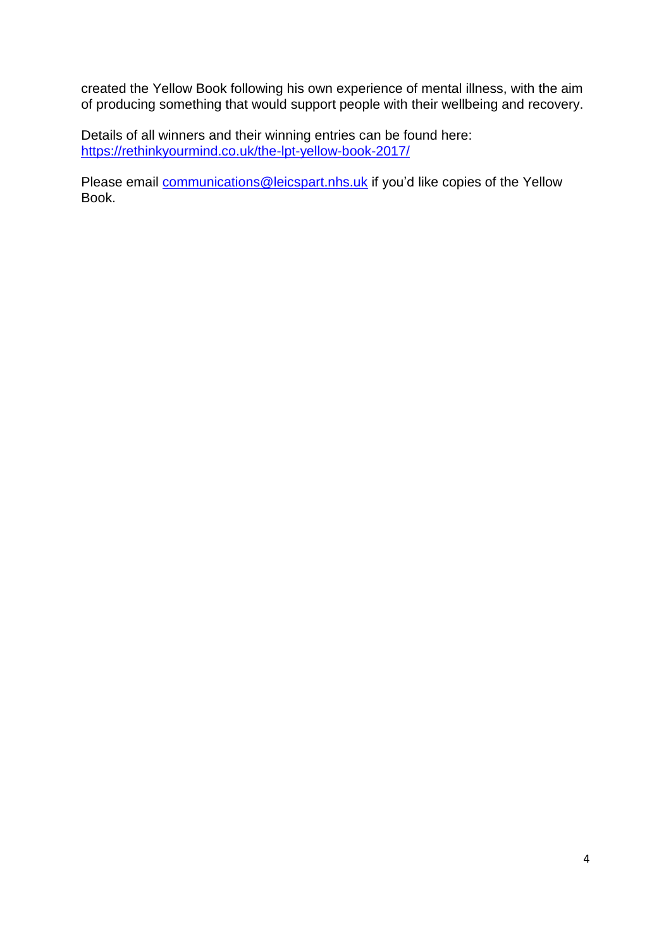created the Yellow Book following his own experience of mental illness, with the aim of producing something that would support people with their wellbeing and recovery.

Details of all winners and their winning entries can be found here: <https://rethinkyourmind.co.uk/the-lpt-yellow-book-2017/>

Please email **communications@leicspart.nhs.uk** if you'd like copies of the Yellow Book.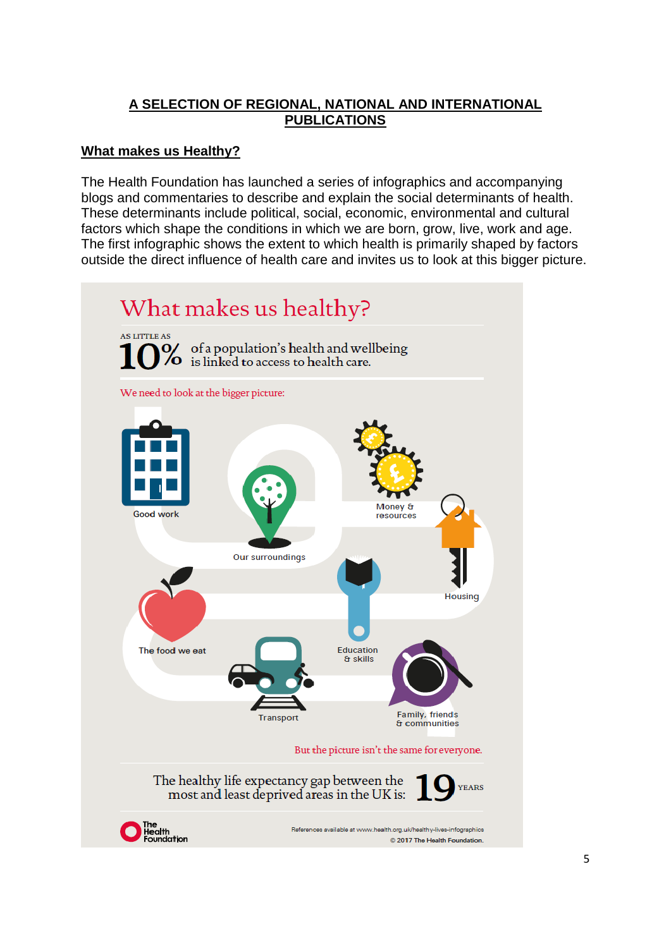## **A SELECTION OF REGIONAL, NATIONAL AND INTERNATIONAL PUBLICATIONS**

## **What makes us Healthy?**

The Health Foundation has launched a series of infographics and accompanying blogs and commentaries to describe and explain the social determinants of health. These determinants include political, social, economic, environmental and cultural factors which shape the conditions in which we are born, grow, live, work and age. The first infographic shows the extent to which health is primarily shaped by factors outside the direct influence of health care and invites us to look at this bigger picture.

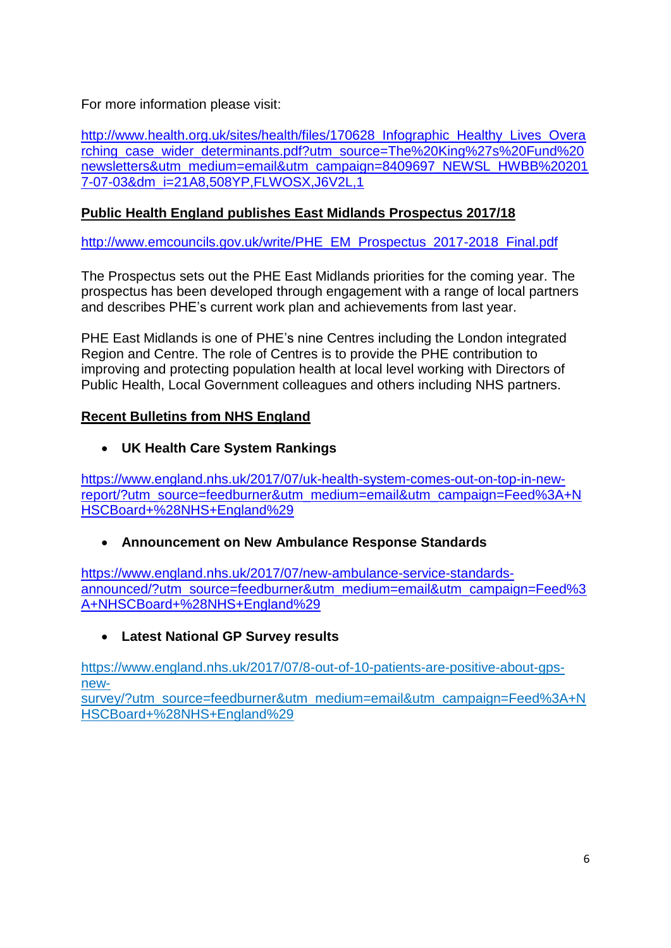For more information please visit:

[http://www.health.org.uk/sites/health/files/170628\\_Infographic\\_Healthy\\_Lives\\_Overa](http://www.health.org.uk/sites/health/files/170628_Infographic_Healthy_Lives_Overarching_case_wider_determinants.pdf?utm_source=The%20King%27s%20Fund%20newsletters&utm_medium=email&utm_campaign=8409697_NEWSL_HWBB%202017-07-03&dm_i=21A8,508YP,FLWOSX,J6V2L,1) [rching\\_case\\_wider\\_determinants.pdf?utm\\_source=The%20King%27s%20Fund%20](http://www.health.org.uk/sites/health/files/170628_Infographic_Healthy_Lives_Overarching_case_wider_determinants.pdf?utm_source=The%20King%27s%20Fund%20newsletters&utm_medium=email&utm_campaign=8409697_NEWSL_HWBB%202017-07-03&dm_i=21A8,508YP,FLWOSX,J6V2L,1) [newsletters&utm\\_medium=email&utm\\_campaign=8409697\\_NEWSL\\_HWBB%20201](http://www.health.org.uk/sites/health/files/170628_Infographic_Healthy_Lives_Overarching_case_wider_determinants.pdf?utm_source=The%20King%27s%20Fund%20newsletters&utm_medium=email&utm_campaign=8409697_NEWSL_HWBB%202017-07-03&dm_i=21A8,508YP,FLWOSX,J6V2L,1) [7-07-03&dm\\_i=21A8,508YP,FLWOSX,J6V2L,1](http://www.health.org.uk/sites/health/files/170628_Infographic_Healthy_Lives_Overarching_case_wider_determinants.pdf?utm_source=The%20King%27s%20Fund%20newsletters&utm_medium=email&utm_campaign=8409697_NEWSL_HWBB%202017-07-03&dm_i=21A8,508YP,FLWOSX,J6V2L,1)

## **Public Health England publishes East Midlands Prospectus 2017/18**

[http://www.emcouncils.gov.uk/write/PHE\\_EM\\_Prospectus\\_2017-2018\\_Final.pdf](http://www.emcouncils.gov.uk/write/PHE_EM_Prospectus_2017-2018_Final.pdf)

The Prospectus sets out the PHE East Midlands priorities for the coming year. The prospectus has been developed through engagement with a range of local partners and describes PHE's current work plan and achievements from last year.

PHE East Midlands is one of PHE's nine Centres including the London integrated Region and Centre. The role of Centres is to provide the PHE contribution to improving and protecting population health at local level working with Directors of Public Health, Local Government colleagues and others including NHS partners.

## **Recent Bulletins from NHS England**

**UK Health Care System Rankings**

[https://www.england.nhs.uk/2017/07/uk-health-system-comes-out-on-top-in-new](https://www.england.nhs.uk/2017/07/uk-health-system-comes-out-on-top-in-new-report/?utm_source=feedburner&utm_medium=email&utm_campaign=Feed%3A+NHSCBoard+%28NHS+England%29)[report/?utm\\_source=feedburner&utm\\_medium=email&utm\\_campaign=Feed%3A+N](https://www.england.nhs.uk/2017/07/uk-health-system-comes-out-on-top-in-new-report/?utm_source=feedburner&utm_medium=email&utm_campaign=Feed%3A+NHSCBoard+%28NHS+England%29) [HSCBoard+%28NHS+England%29](https://www.england.nhs.uk/2017/07/uk-health-system-comes-out-on-top-in-new-report/?utm_source=feedburner&utm_medium=email&utm_campaign=Feed%3A+NHSCBoard+%28NHS+England%29)

# **Announcement on New Ambulance Response Standards**

[https://www.england.nhs.uk/2017/07/new-ambulance-service-standards](https://www.england.nhs.uk/2017/07/new-ambulance-service-standards-announced/?utm_source=feedburner&utm_medium=email&utm_campaign=Feed%3A+NHSCBoard+%28NHS+England%29)[announced/?utm\\_source=feedburner&utm\\_medium=email&utm\\_campaign=Feed%3](https://www.england.nhs.uk/2017/07/new-ambulance-service-standards-announced/?utm_source=feedburner&utm_medium=email&utm_campaign=Feed%3A+NHSCBoard+%28NHS+England%29) [A+NHSCBoard+%28NHS+England%29](https://www.england.nhs.uk/2017/07/new-ambulance-service-standards-announced/?utm_source=feedburner&utm_medium=email&utm_campaign=Feed%3A+NHSCBoard+%28NHS+England%29)

# **Latest National GP Survey results**

https://www.england.nhs.uk/2017/07/8-out-of-10-patients-are-positive-about-gpsnew-

survey/?utm\_source=feedburner&utm\_medium=email&utm\_campaign=Feed%3A+N HSCBoard+%28NHS+England%29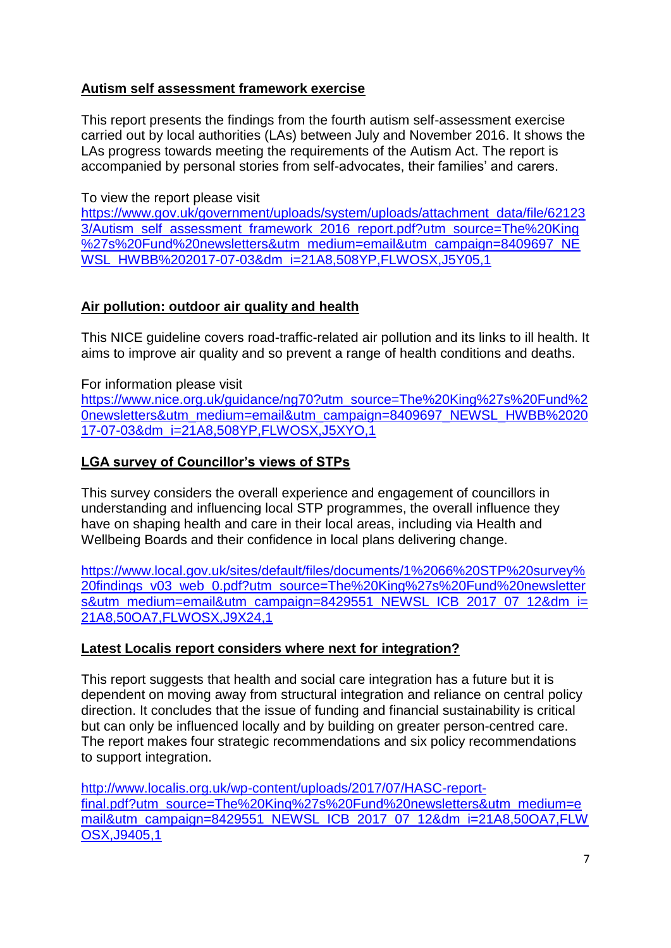## **Autism self assessment framework exercise**

This report presents the findings from the fourth autism self-assessment exercise carried out by local authorities (LAs) between July and November 2016. It shows the LAs progress towards meeting the requirements of the Autism Act. The report is accompanied by personal stories from self-advocates, their families' and carers.

### To view the report please visit

[https://www.gov.uk/government/uploads/system/uploads/attachment\\_data/file/62123](https://www.gov.uk/government/uploads/system/uploads/attachment_data/file/621233/Autism_self_assessment_framework_2016_report.pdf?utm_source=The%20King%27s%20Fund%20newsletters&utm_medium=email&utm_campaign=8409697_NEWSL_HWBB%202017-07-03&dm_i=21A8,508YP,FLWOSX,J5Y05,1) [3/Autism\\_self\\_assessment\\_framework\\_2016\\_report.pdf?utm\\_source=The%20King](https://www.gov.uk/government/uploads/system/uploads/attachment_data/file/621233/Autism_self_assessment_framework_2016_report.pdf?utm_source=The%20King%27s%20Fund%20newsletters&utm_medium=email&utm_campaign=8409697_NEWSL_HWBB%202017-07-03&dm_i=21A8,508YP,FLWOSX,J5Y05,1) [%27s%20Fund%20newsletters&utm\\_medium=email&utm\\_campaign=8409697\\_NE](https://www.gov.uk/government/uploads/system/uploads/attachment_data/file/621233/Autism_self_assessment_framework_2016_report.pdf?utm_source=The%20King%27s%20Fund%20newsletters&utm_medium=email&utm_campaign=8409697_NEWSL_HWBB%202017-07-03&dm_i=21A8,508YP,FLWOSX,J5Y05,1) [WSL\\_HWBB%202017-07-03&dm\\_i=21A8,508YP,FLWOSX,J5Y05,1](https://www.gov.uk/government/uploads/system/uploads/attachment_data/file/621233/Autism_self_assessment_framework_2016_report.pdf?utm_source=The%20King%27s%20Fund%20newsletters&utm_medium=email&utm_campaign=8409697_NEWSL_HWBB%202017-07-03&dm_i=21A8,508YP,FLWOSX,J5Y05,1)

### **Air pollution: outdoor air quality and health**

This NICE guideline covers road-traffic-related air pollution and its links to ill health. It aims to improve air quality and so prevent a range of health conditions and deaths.

For information please visit

[https://www.nice.org.uk/guidance/ng70?utm\\_source=The%20King%27s%20Fund%2](https://www.nice.org.uk/guidance/ng70?utm_source=The%20King%27s%20Fund%20newsletters&utm_medium=email&utm_campaign=8409697_NEWSL_HWBB%202017-07-03&dm_i=21A8,508YP,FLWOSX,J5XYO,1) [0newsletters&utm\\_medium=email&utm\\_campaign=8409697\\_NEWSL\\_HWBB%2020](https://www.nice.org.uk/guidance/ng70?utm_source=The%20King%27s%20Fund%20newsletters&utm_medium=email&utm_campaign=8409697_NEWSL_HWBB%202017-07-03&dm_i=21A8,508YP,FLWOSX,J5XYO,1) [17-07-03&dm\\_i=21A8,508YP,FLWOSX,J5XYO,1](https://www.nice.org.uk/guidance/ng70?utm_source=The%20King%27s%20Fund%20newsletters&utm_medium=email&utm_campaign=8409697_NEWSL_HWBB%202017-07-03&dm_i=21A8,508YP,FLWOSX,J5XYO,1)

### **LGA survey of Councillor's views of STPs**

This survey considers the overall experience and engagement of councillors in understanding and influencing local STP programmes, the overall influence they have on shaping health and care in their local areas, including via Health and Wellbeing Boards and their confidence in local plans delivering change.

[https://www.local.gov.uk/sites/default/files/documents/1%2066%20STP%20survey%](https://www.local.gov.uk/sites/default/files/documents/1%2066%20STP%20survey%20findings_v03_web_0.pdf?utm_source=The%20King%27s%20Fund%20newsletters&utm_medium=email&utm_campaign=8429551_NEWSL_ICB_2017_07_12&dm_i=21A8,50OA7,FLWOSX,J9X24,1) [20findings\\_v03\\_web\\_0.pdf?utm\\_source=The%20King%27s%20Fund%20newsletter](https://www.local.gov.uk/sites/default/files/documents/1%2066%20STP%20survey%20findings_v03_web_0.pdf?utm_source=The%20King%27s%20Fund%20newsletters&utm_medium=email&utm_campaign=8429551_NEWSL_ICB_2017_07_12&dm_i=21A8,50OA7,FLWOSX,J9X24,1) [s&utm\\_medium=email&utm\\_campaign=8429551\\_NEWSL\\_ICB\\_2017\\_07\\_12&dm\\_i=](https://www.local.gov.uk/sites/default/files/documents/1%2066%20STP%20survey%20findings_v03_web_0.pdf?utm_source=The%20King%27s%20Fund%20newsletters&utm_medium=email&utm_campaign=8429551_NEWSL_ICB_2017_07_12&dm_i=21A8,50OA7,FLWOSX,J9X24,1) [21A8,50OA7,FLWOSX,J9X24,1](https://www.local.gov.uk/sites/default/files/documents/1%2066%20STP%20survey%20findings_v03_web_0.pdf?utm_source=The%20King%27s%20Fund%20newsletters&utm_medium=email&utm_campaign=8429551_NEWSL_ICB_2017_07_12&dm_i=21A8,50OA7,FLWOSX,J9X24,1)

#### **Latest Localis report considers where next for integration?**

This report suggests that health and social care integration has a future but it is dependent on moving away from structural integration and reliance on central policy direction. It concludes that the issue of funding and financial sustainability is critical but can only be influenced locally and by building on greater person-centred care. The report makes four strategic recommendations and six policy recommendations to support integration.

[http://www.localis.org.uk/wp-content/uploads/2017/07/HASC-report](http://www.localis.org.uk/wp-content/uploads/2017/07/HASC-report-final.pdf?utm_source=The%20King%27s%20Fund%20newsletters&utm_medium=email&utm_campaign=8429551_NEWSL_ICB_2017_07_12&dm_i=21A8,50OA7,FLWOSX,J9405,1)[final.pdf?utm\\_source=The%20King%27s%20Fund%20newsletters&utm\\_medium=e](http://www.localis.org.uk/wp-content/uploads/2017/07/HASC-report-final.pdf?utm_source=The%20King%27s%20Fund%20newsletters&utm_medium=email&utm_campaign=8429551_NEWSL_ICB_2017_07_12&dm_i=21A8,50OA7,FLWOSX,J9405,1) [mail&utm\\_campaign=8429551\\_NEWSL\\_ICB\\_2017\\_07\\_12&dm\\_i=21A8,50OA7,FLW](http://www.localis.org.uk/wp-content/uploads/2017/07/HASC-report-final.pdf?utm_source=The%20King%27s%20Fund%20newsletters&utm_medium=email&utm_campaign=8429551_NEWSL_ICB_2017_07_12&dm_i=21A8,50OA7,FLWOSX,J9405,1) [OSX,J9405,1](http://www.localis.org.uk/wp-content/uploads/2017/07/HASC-report-final.pdf?utm_source=The%20King%27s%20Fund%20newsletters&utm_medium=email&utm_campaign=8429551_NEWSL_ICB_2017_07_12&dm_i=21A8,50OA7,FLWOSX,J9405,1)